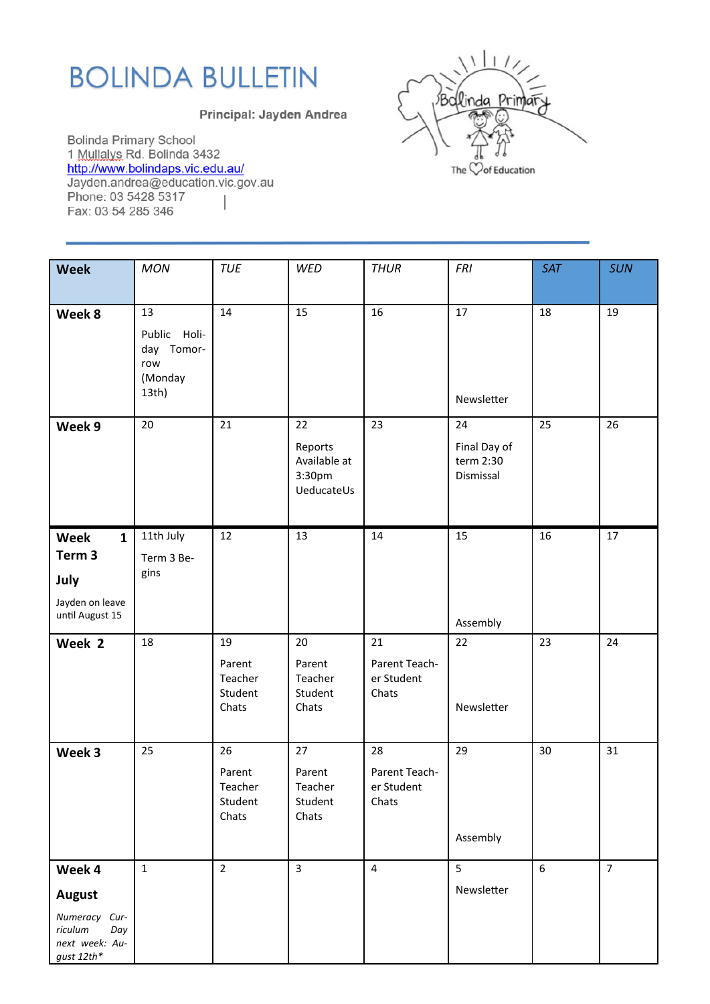# **BOLINDA BULLETIN**

### Principal: Jayden Andrea



**Bolinda Primary School** 1 Mullalys Rd. Bolinda 3432 http://www.bolindaps.vic.edu.au/<br>Jayden.andrea@education.vic.gov.au Phone: 03 5428 5317 Fax: 03 54 285 346

| <b>Week</b>                                                                                | <b>MON</b>                                                     | TUE                                         | WED                                                   | <b>THUR</b>                                | FRI                                          | SAT              | <b>SUN</b>     |
|--------------------------------------------------------------------------------------------|----------------------------------------------------------------|---------------------------------------------|-------------------------------------------------------|--------------------------------------------|----------------------------------------------|------------------|----------------|
| Week 8                                                                                     | 13<br>Public Holi-<br>day Tomor-<br>row<br>(Monday<br>$13th$ ) | 14                                          | 15                                                    | 16                                         | 17<br>Newsletter                             | 18               | 19             |
| Week 9                                                                                     | 20                                                             | 21                                          | 22<br>Reports<br>Available at<br>3:30pm<br>UeducateUs | 23                                         | 24<br>Final Day of<br>term 2:30<br>Dismissal | 25               | 26             |
| <b>Week</b><br>$\mathbf{1}$<br>Term <sub>3</sub><br>July<br>Jayden on leave                | 11th July<br>Term 3 Be-<br>gins                                | 12                                          | 13                                                    | 14                                         | 15                                           | 16               | 17             |
| until August 15                                                                            |                                                                |                                             |                                                       |                                            | Assembly                                     |                  |                |
| Week 2                                                                                     | 18                                                             | 19<br>Parent<br>Teacher<br>Student<br>Chats | 20<br>Parent<br>Teacher<br>Student<br>Chats           | 21<br>Parent Teach-<br>er Student<br>Chats | 22<br>Newsletter                             | 23               | 24             |
| Week 3                                                                                     | 25                                                             | 26<br>Parent<br>Teacher<br>Student<br>Chats | 27<br>Parent<br>Teacher<br>Student<br>Chats           | 28<br>Parent Teach-<br>er Student<br>Chats | 29<br>Assembly                               | 30               | 31             |
| Week 4<br><b>August</b><br>Numeracy Cur-<br>riculum<br>Day<br>next week: Au-<br>gust 12th* | $\mathbf{1}$                                                   | $\overline{2}$                              | $\overline{3}$                                        | $\overline{4}$                             | 5<br>Newsletter                              | $\boldsymbol{6}$ | $\overline{7}$ |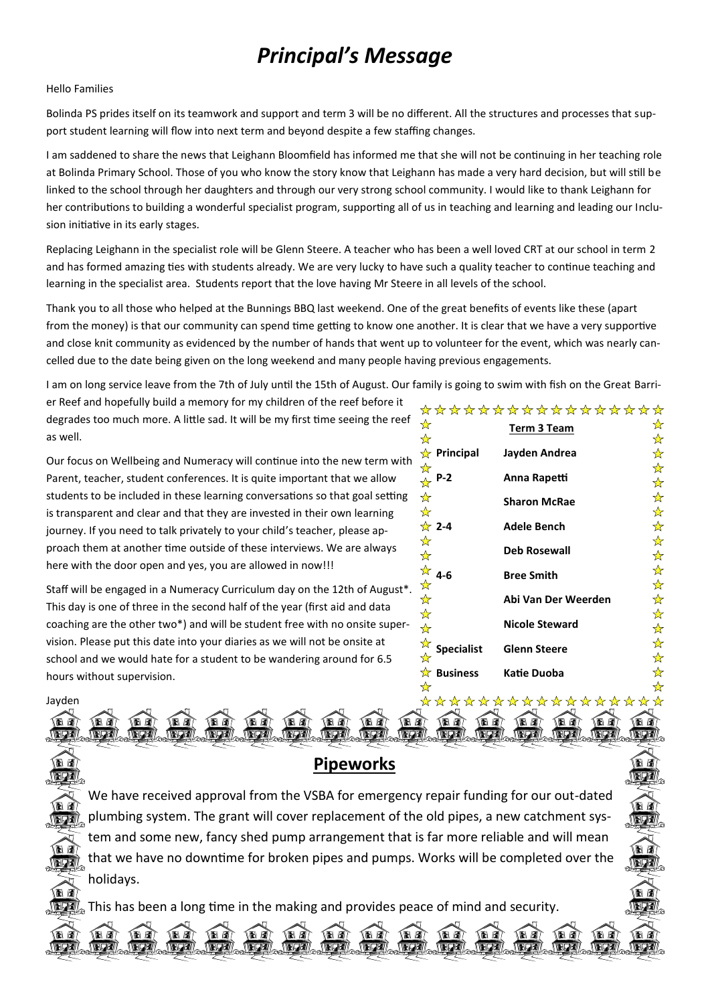## *Principal's Message*

#### Hello Families

Jayden

Bolinda PS prides itself on its teamwork and support and term 3 will be no different. All the structures and processes that support student learning will flow into next term and beyond despite a few staffing changes.

I am saddened to share the news that Leighann Bloomfield has informed me that she will not be continuing in her teaching role at Bolinda Primary School. Those of you who know the story know that Leighann has made a very hard decision, but will still be linked to the school through her daughters and through our very strong school community. I would like to thank Leighann for her contributions to building a wonderful specialist program, supporting all of us in teaching and learning and leading our Inclusion initiative in its early stages.

Replacing Leighann in the specialist role will be Glenn Steere. A teacher who has been a well loved CRT at our school in term 2 and has formed amazing ties with students already. We are very lucky to have such a quality teacher to continue teaching and learning in the specialist area. Students report that the love having Mr Steere in all levels of the school.

Thank you to all those who helped at the Bunnings BBQ last weekend. One of the great benefits of events like these (apart from the money) is that our community can spend time getting to know one another. It is clear that we have a very supportive and close knit community as evidenced by the number of hands that went up to volunteer for the event, which was nearly cancelled due to the date being given on the long weekend and many people having previous engagements.

I am on long service leave from the 7th of July until the 15th of August. Our family is going to swim with fish on the Great Barri-

er Reef and hopefully build a memory for my children of the reef before it degrades too much more. A little sad. It will be my first time seeing the reef as well.

Our focus on Wellbeing and Numeracy will continue into the new term with Parent, teacher, student conferences. It is quite important that we allow students to be included in these learning conversations so that goal setting is transparent and clear and that they are invested in their own learning journey. If you need to talk privately to your child's teacher, please approach them at another time outside of these interviews. We are always here with the door open and yes, you are allowed in now!!!

Staff will be engaged in a Numeracy Curriculum day on the 12th of August\*. This day is one of three in the second half of the year (first aid and data coaching are the other two\*) and will be student free with no onsite supervision. Please put this date into your diaries as we will not be onsite at school and we would hate for a student to be wandering around for 6.5 hours without supervision.

|        |                                            | *****************     |        |
|--------|--------------------------------------------|-----------------------|--------|
| ☆<br>☆ |                                            | Term 3 Team           | ☆<br>☆ |
|        | $\star$ Principal                          | Jayden Andrea         | ☆      |
|        | ☆<br>☆ P-2                                 | Anna Rapetti          | ☆<br>☆ |
| ☆<br>☆ |                                            | <b>Sharon McRae</b>   | ☆<br>☆ |
|        | $\frac{1}{\sqrt{3}}$ 2-4                   | <b>Adele Bench</b>    | ☆      |
| ☆<br>☆ |                                            | <b>Deb Rosewall</b>   | ☆<br>☆ |
| ☆      | $\overrightarrow{\mathbf{A}}$ 4-6          | <b>Bree Smith</b>     | ☆<br>☆ |
| ☆      |                                            | Abi Van Der Weerden   | ☆      |
| ☆<br>☆ |                                            | <b>Nicole Steward</b> | ☆<br>☆ |
| ☆☆     | <b>Specialist</b>                          | <b>Glenn Steere</b>   | ☆<br>☆ |
|        | $\overleftrightarrow{\mathbf{x}}$ Business | <b>Katie Duoba</b>    | ☆      |
| ☆      |                                            |                       | ☆      |

### **Pipeworks**

We have received approval from the VSBA for emergency repair funding for our out-dated plumbing system. The grant will cover replacement of the old pipes, a new catchment system and some new, fancy shed pump arrangement that is far more reliable and will mean that we have no downtime for broken pipes and pumps. Works will be completed over the holidays.

This has been a long time in the making and provides peace of mind and security.